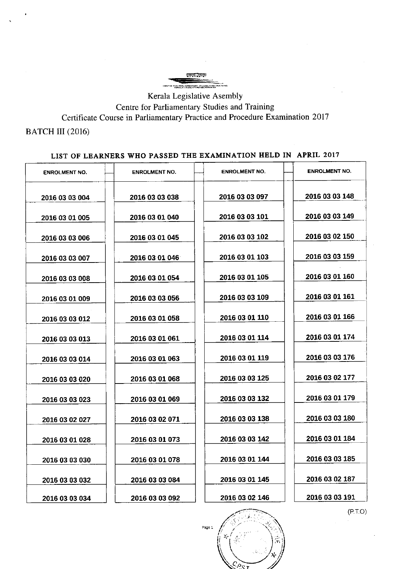**Andre Stude**r FOR CARLIAMENTARY STUDIES AN

Kerala Legislative Asembly Centre for Parliamentary Studies and Training Certificate Course in Parliamentary Practice and Procedure Examination 2017

BATCH III (2016)

## LIST OF LEARNERS WHO PASSED THE EXAMINATION HELD IN APRIL <sup>2017</sup>

| <b>ENROLMENT NO.</b> | <b>ENROLMENT NO.</b> | <b>ENROLMENT NO.</b> | <b>ENROLMENT NO.</b> |
|----------------------|----------------------|----------------------|----------------------|
| 2016 03 03 004       | 2016 03 03 038       | 2016 03 03 097       | 2016 03 03 148       |
| 2016 03 01 005       | 2016 03 01 040       | 2016 03 03 101       | 2016 03 03 149       |
| 2016 03 03 006       | 2016 03 01 045       | 2016 03 03 102       | 2016 03 02 150       |
| 2016 03 03 007       | 2016 03 01 046       | 2016 03 01 103       | 2016 03 03 159       |
| 2016 03 03 008       | 2016 03 01 054       | 2016 03 01 105       | 2016 03 01 160       |
| 2016 03 01 009       | 2016 03 03 056       | 2016 03 03 109       | 2016 03 01 161       |
| 2016 03 03 012       | 2016 03 01 058       | 2016 03 01 110       | 2016 03 01 166       |
| 2016 03 03 013       | 2016 03 01 061       | 2016 03 01 114       | 2016 03 01 174       |
| 2016 03 03 014       | 2016 03 01 063       | 2016 03 01 119       | 2016 03 03 176       |
| 2016 03 03 020       | 2016 03 01 068       | 2016 03 03 125       | 2016 03 02 177       |
| 2016 03 03 023       | 2016 03 01 069       | 2016 03 03 132       | 2016 03 01 179       |
| 2016 03 02 027       | 2016 03 02 071       | 2016 03 03 138       | 2016 03 03 180       |
| 2016 03 01 028       | 2016 03 01 073       | 2016 03 03 142       | 2016 03 01 184       |
| 2016 03 03 030       | 2016 03 01 078       | 2016 03 01 144       | 2016 03 03 185       |
| 2016 03 03 032       | 2016 03 03 084       | 2016 03 01 145       | 2016 03 02 187       |
| 2016 03 03 034       | 2016 03 03 092       | 2016 03 02 146       | 2016 03 03 191       |

(P.r.o)